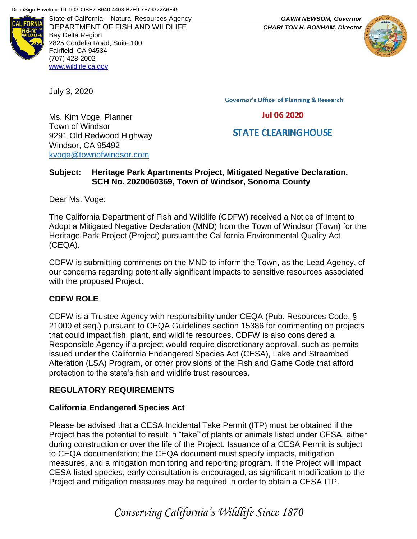

DEPARTMENT OF FISH AND WILDLIFE *CHARLTON H. BONHAM, Director* Bay Delta Region 2825 Cordelia Road, Suite 100 Fairfield, CA 94534 (707) 428-2002 [www.wildlife.ca.gov](http://www.wildlife.ca.gov/)

July 3, 2020

Ms. Kim Voge, Planner

9291 Old Redwood Highway

[kvoge@townofwindsor.com](mailto:kvoge@townofwindsor.com) 

Town of Windsor

Windsor, CA 95492

**Governor's Office of Planning & Research** 

**Jul 06 2020** 

## **STATE CLEARING HOUSE**

## **Subject: Heritage Park Apartments Project, Mitigated Negative Declaration, SCH No. 2020060369, Town of Windsor, Sonoma County**

Dear Ms. Voge:

The California Department of Fish and Wildlife (CDFW) received a Notice of Intent to Adopt a Mitigated Negative Declaration (MND) from the Town of Windsor (Town) for the Heritage Park Project (Project) pursuant the California Environmental Quality Act (CEQA).

CDFW is submitting comments on the MND to inform the Town, as the Lead Agency, of our concerns regarding potentially significant impacts to sensitive resources associated with the proposed Project.

## **CDFW ROLE**

CDFW is a Trustee Agency with responsibility under CEQA (Pub. Resources Code, § 21000 et seq.) pursuant to CEQA Guidelines section 15386 for commenting on projects that could impact fish, plant, and wildlife resources. CDFW is also considered a Responsible Agency if a project would require discretionary approval, such as permits issued under the California Endangered Species Act (CESA), Lake and Streambed Alteration (LSA) Program, or other provisions of the Fish and Game Code that afford protection to the state's fish and wildlife trust resources.

## **REGULATORY REQUIREMENTS**

## **California Endangered Species Act**

Please be advised that a CESA Incidental Take Permit (ITP) must be obtained if the Project has the potential to result in "take" of plants or animals listed under CESA, either during construction or over the life of the Project. Issuance of a CESA Permit is subject to CEQA documentation; the CEQA document must specify impacts, mitigation measures, and a mitigation monitoring and reporting program. If the Project will impact CESA listed species, early consultation is encouraged, as significant modification to the Project and mitigation measures may be required in order to obtain a CESA ITP.

State of California – Natural Resources Agency *GAVIN NEWSOM, Governor*



# *Conserving California's Wildlife Since 1870*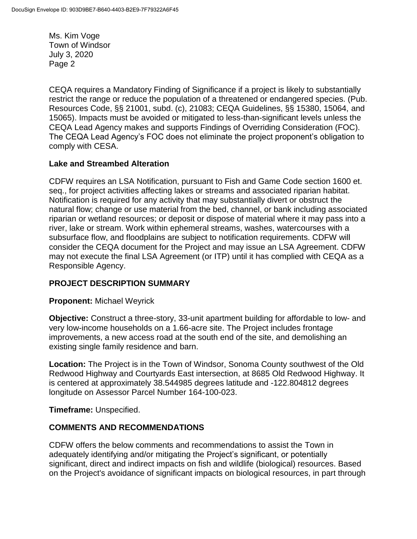CEQA requires a Mandatory Finding of Significance if a project is likely to substantially restrict the range or reduce the population of a threatened or endangered species. (Pub. Resources Code, §§ 21001, subd. (c), 21083; CEQA Guidelines, §§ 15380, 15064, and 15065). Impacts must be avoided or mitigated to less-than-significant levels unless the CEQA Lead Agency makes and supports Findings of Overriding Consideration (FOC). The CEQA Lead Agency's FOC does not eliminate the project proponent's obligation to comply with CESA.

## **Lake and Streambed Alteration**

CDFW requires an LSA Notification, pursuant to Fish and Game Code section 1600 et. seq., for project activities affecting lakes or streams and associated riparian habitat. Notification is required for any activity that may substantially divert or obstruct the natural flow; change or use material from the bed, channel, or bank including associated riparian or wetland resources; or deposit or dispose of material where it may pass into a river, lake or stream. Work within ephemeral streams, washes, watercourses with a subsurface flow, and floodplains are subject to notification requirements. CDFW will consider the CEQA document for the Project and may issue an LSA Agreement. CDFW may not execute the final LSA Agreement (or ITP) until it has complied with CEQA as a Responsible Agency.

## **PROJECT DESCRIPTION SUMMARY**

## **Proponent:** Michael Weyrick

**Objective:** Construct a three-story, 33-unit apartment building for affordable to low- and very low-income households on a 1.66-acre site. The Project includes frontage improvements, a new access road at the south end of the site, and demolishing an existing single family residence and barn.

**Location:** The Project is in the Town of Windsor, Sonoma County southwest of the Old Redwood Highway and Courtyards East intersection, at 8685 Old Redwood Highway. It is centered at approximately 38.544985 degrees latitude and -122.804812 degrees longitude on Assessor Parcel Number 164-100-023.

**Timeframe:** Unspecified.

## **COMMENTS AND RECOMMENDATIONS**

CDFW offers the below comments and recommendations to assist the Town in adequately identifying and/or mitigating the Project's significant, or potentially significant, direct and indirect impacts on fish and wildlife (biological) resources. Based on the Project's avoidance of significant impacts on biological resources, in part through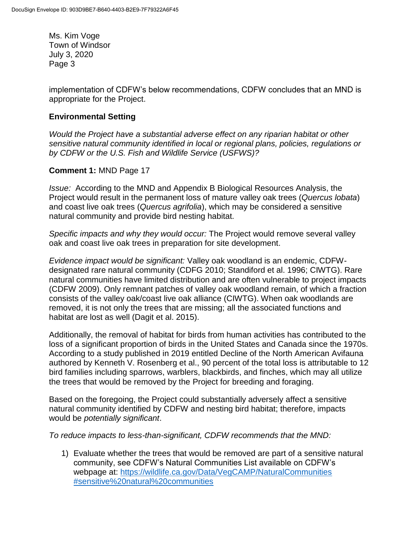implementation of CDFW's below recommendations, CDFW concludes that an MND is appropriate for the Project.

## **Environmental Setting**

*Would the Project have a substantial adverse effect on any riparian habitat or other sensitive natural community identified in local or regional plans, policies, regulations or by CDFW or the U.S. Fish and Wildlife Service (USFWS)?*

## **Comment 1:** MND Page 17

*Issue:* According to the MND and Appendix B Biological Resources Analysis, the Project would result in the permanent loss of mature valley oak trees (*Quercus lobata*) and coast live oak trees (*Quercus agrifolia*), which may be considered a sensitive natural community and provide bird nesting habitat.

*Specific impacts and why they would occur:* The Project would remove several valley oak and coast live oak trees in preparation for site development.

*Evidence impact would be significant:* Valley oak woodland is an endemic, CDFWdesignated rare natural community (CDFG 2010; Standiford et al. 1996; CIWTG). Rare natural communities have limited distribution and are often vulnerable to project impacts (CDFW 2009). Only remnant patches of valley oak woodland remain, of which a fraction consists of the valley oak/coast live oak alliance (CIWTG). When oak woodlands are removed, it is not only the trees that are missing; all the associated functions and habitat are lost as well (Dagit et al. 2015).

Additionally, the removal of habitat for birds from human activities has contributed to the loss of a significant proportion of birds in the United States and Canada since the 1970s. According to a study published in 2019 entitled Decline of the North American Avifauna authored by Kenneth V. Rosenberg et al., 90 percent of the total loss is attributable to 12 bird families including sparrows, warblers, blackbirds, and finches, which may all utilize the trees that would be removed by the Project for breeding and foraging.

Based on the foregoing, the Project could substantially adversely affect a sensitive natural community identified by CDFW and nesting bird habitat; therefore, impacts would be *potentially significant*.

*To reduce impacts to less-than-significant, CDFW recommends that the MND:* 

1) Evaluate whether the trees that would be removed are part of a sensitive natural community, see CDFW's Natural Communities List available on CDFW's webpage at: [https://wildlife.ca.gov/Data/VegCAMP/NaturalCommunities](https://wildlife.ca.gov/Data/VegCAMP/NaturalCommunities#sensitive%20natural%20communities) [#sensitive%20natural%20communities](https://wildlife.ca.gov/Data/VegCAMP/NaturalCommunities#sensitive%20natural%20communities)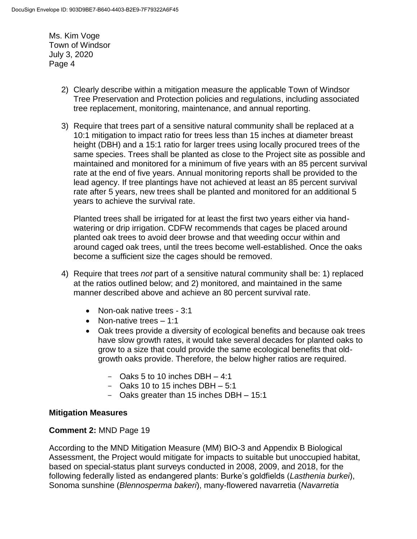- 2) Clearly describe within a mitigation measure the applicable Town of Windsor Tree Preservation and Protection policies and regulations, including associated tree replacement, monitoring, maintenance, and annual reporting.
- 3) Require that trees part of a sensitive natural community shall be replaced at a 10:1 mitigation to impact ratio for trees less than 15 inches at diameter breast height (DBH) and a 15:1 ratio for larger trees using locally procured trees of the same species. Trees shall be planted as close to the Project site as possible and maintained and monitored for a minimum of five years with an 85 percent survival rate at the end of five years. Annual monitoring reports shall be provided to the lead agency. If tree plantings have not achieved at least an 85 percent survival rate after 5 years, new trees shall be planted and monitored for an additional 5 years to achieve the survival rate.

Planted trees shall be irrigated for at least the first two years either via handwatering or drip irrigation. CDFW recommends that cages be placed around planted oak trees to avoid deer browse and that weeding occur within and around caged oak trees, until the trees become well-established. Once the oaks become a sufficient size the cages should be removed.

- 4) Require that trees *not* part of a sensitive natural community shall be: 1) replaced at the ratios outlined below; and 2) monitored, and maintained in the same manner described above and achieve an 80 percent survival rate.
	- Non-oak native trees 3:1
	- Non-native trees  $-1:1$
	- Oak trees provide a diversity of ecological benefits and because oak trees have slow growth rates, it would take several decades for planted oaks to grow to a size that could provide the same ecological benefits that oldgrowth oaks provide. Therefore, the below higher ratios are required.
		- Oaks 5 to 10 inches DBH  $-4:1$
		- Oaks 10 to 15 inches DBH  $-5:1$
		- Oaks greater than 15 inches DBH 15:1

## **Mitigation Measures**

## **Comment 2:** MND Page 19

According to the MND Mitigation Measure (MM) BIO-3 and Appendix B Biological Assessment, the Project would mitigate for impacts to suitable but unoccupied habitat, based on special-status plant surveys conducted in 2008, 2009, and 2018, for the following federally listed as endangered plants: Burke's goldfields (*Lasthenia burkei*), Sonoma sunshine (*Blennosperma bakeri*), many-flowered navarretia (*Navarretia*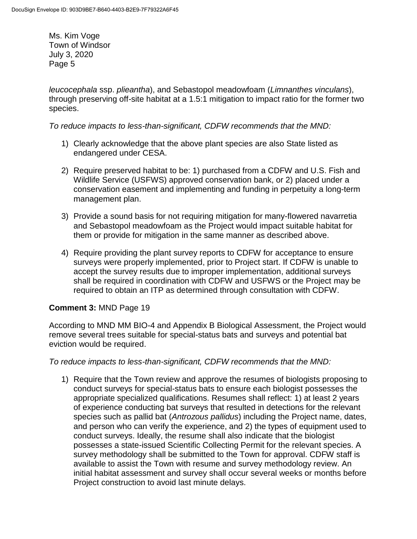*leucocephala* ssp. *plieantha*), and Sebastopol meadowfoam (*Limnanthes vinculans*), through preserving off-site habitat at a 1.5:1 mitigation to impact ratio for the former two species.

*To reduce impacts to less-than-significant, CDFW recommends that the MND:* 

- 1) Clearly acknowledge that the above plant species are also State listed as endangered under CESA.
- 2) Require preserved habitat to be: 1) purchased from a CDFW and U.S. Fish and Wildlife Service (USFWS) approved conservation bank, or 2) placed under a conservation easement and implementing and funding in perpetuity a long-term management plan.
- 3) Provide a sound basis for not requiring mitigation for many-flowered navarretia and Sebastopol meadowfoam as the Project would impact suitable habitat for them or provide for mitigation in the same manner as described above.
- 4) Require providing the plant survey reports to CDFW for acceptance to ensure surveys were properly implemented, prior to Project start. If CDFW is unable to accept the survey results due to improper implementation, additional surveys shall be required in coordination with CDFW and USFWS or the Project may be required to obtain an ITP as determined through consultation with CDFW.

## **Comment 3:** MND Page 19

According to MND MM BIO-4 and Appendix B Biological Assessment, the Project would remove several trees suitable for special-status bats and surveys and potential bat eviction would be required.

*To reduce impacts to less-than-significant, CDFW recommends that the MND:* 

1) Require that the Town review and approve the resumes of biologists proposing to conduct surveys for special-status bats to ensure each biologist possesses the appropriate specialized qualifications. Resumes shall reflect: 1) at least 2 years of experience conducting bat surveys that resulted in detections for the relevant species such as pallid bat (*Antrozous pallidus*) including the Project name, dates, and person who can verify the experience, and 2) the types of equipment used to conduct surveys. Ideally, the resume shall also indicate that the biologist possesses a state-issued Scientific Collecting Permit for the relevant species. A survey methodology shall be submitted to the Town for approval. CDFW staff is available to assist the Town with resume and survey methodology review. An initial habitat assessment and survey shall occur several weeks or months before Project construction to avoid last minute delays.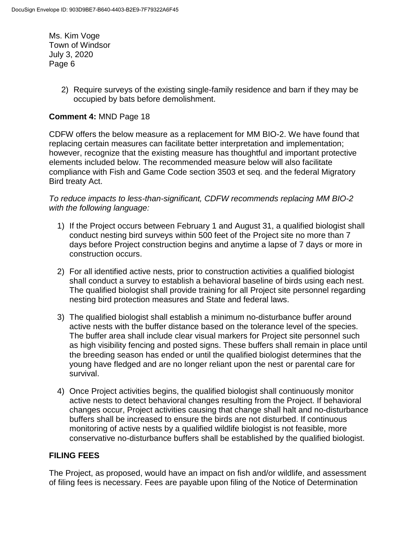> 2) Require surveys of the existing single-family residence and barn if they may be occupied by bats before demolishment.

#### **Comment 4:** MND Page 18

CDFW offers the below measure as a replacement for MM BIO-2. We have found that replacing certain measures can facilitate better interpretation and implementation; however, recognize that the existing measure has thoughtful and important protective elements included below. The recommended measure below will also facilitate compliance with Fish and Game Code section 3503 et seq. and the federal Migratory Bird treaty Act.

*To reduce impacts to less-than-significant, CDFW recommends replacing MM BIO-2 with the following language:* 

- 1) If the Project occurs between February 1 and August 31, a qualified biologist shall conduct nesting bird surveys within 500 feet of the Project site no more than 7 days before Project construction begins and anytime a lapse of 7 days or more in construction occurs.
- 2) For all identified active nests, prior to construction activities a qualified biologist shall conduct a survey to establish a behavioral baseline of birds using each nest. The qualified biologist shall provide training for all Project site personnel regarding nesting bird protection measures and State and federal laws.
- 3) The qualified biologist shall establish a minimum no-disturbance buffer around active nests with the buffer distance based on the tolerance level of the species. The buffer area shall include clear visual markers for Project site personnel such as high visibility fencing and posted signs. These buffers shall remain in place until the breeding season has ended or until the qualified biologist determines that the young have fledged and are no longer reliant upon the nest or parental care for survival.
- 4) Once Project activities begins, the qualified biologist shall continuously monitor active nests to detect behavioral changes resulting from the Project. If behavioral changes occur, Project activities causing that change shall halt and no-disturbance buffers shall be increased to ensure the birds are not disturbed. If continuous monitoring of active nests by a qualified wildlife biologist is not feasible, more conservative no-disturbance buffers shall be established by the qualified biologist.

## **FILING FEES**

The Project, as proposed, would have an impact on fish and/or wildlife, and assessment of filing fees is necessary. Fees are payable upon filing of the Notice of Determination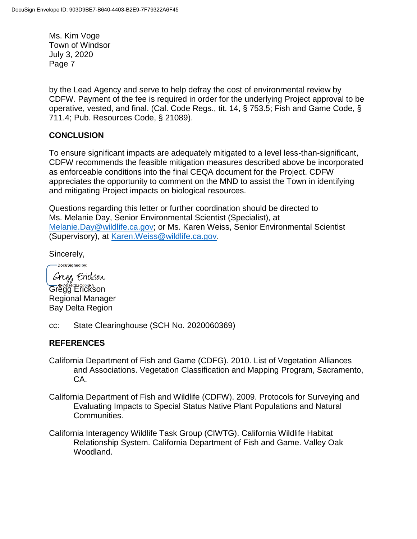by the Lead Agency and serve to help defray the cost of environmental review by CDFW. Payment of the fee is required in order for the underlying Project approval to be operative, vested, and final. (Cal. Code Regs., tit. 14, § 753.5; Fish and Game Code, § 711.4; Pub. Resources Code, § 21089).

## **CONCLUSION**

To ensure significant impacts are adequately mitigated to a level less-than-significant, CDFW recommends the feasible mitigation measures described above be incorporated as enforceable conditions into the final CEQA document for the Project. CDFW appreciates the opportunity to comment on the MND to assist the Town in identifying and mitigating Project impacts on biological resources.

Questions regarding this letter or further coordination should be directed to Ms. Melanie Day, Senior Environmental Scientist (Specialist), at [Melanie.Day@wildlife.ca.gov;](mailto:Melanie.Day@wildlife.ca.gov) or Ms. Karen Weiss, Senior Environmental Scientist (Supervisory), at [Karen.Weiss@wildlife.ca.gov.](mailto:Karen.Weiss@wildlife.ca.gov)

Sincerely,

DocuSigned by: Gregg Erickson Gregg Erickson Regional Manager Bay Delta Region

cc: State Clearinghouse (SCH No. 2020060369)

## **REFERENCES**

- California Department of Fish and Game (CDFG). 2010. List of Vegetation Alliances and Associations. Vegetation Classification and Mapping Program, Sacramento, CA.
- California Department of Fish and Wildlife (CDFW). 2009. Protocols for Surveying and Evaluating Impacts to Special Status Native Plant Populations and Natural Communities.
- California Interagency Wildlife Task Group (CIWTG). California Wildlife Habitat Relationship System. California Department of Fish and Game. Valley Oak Woodland.